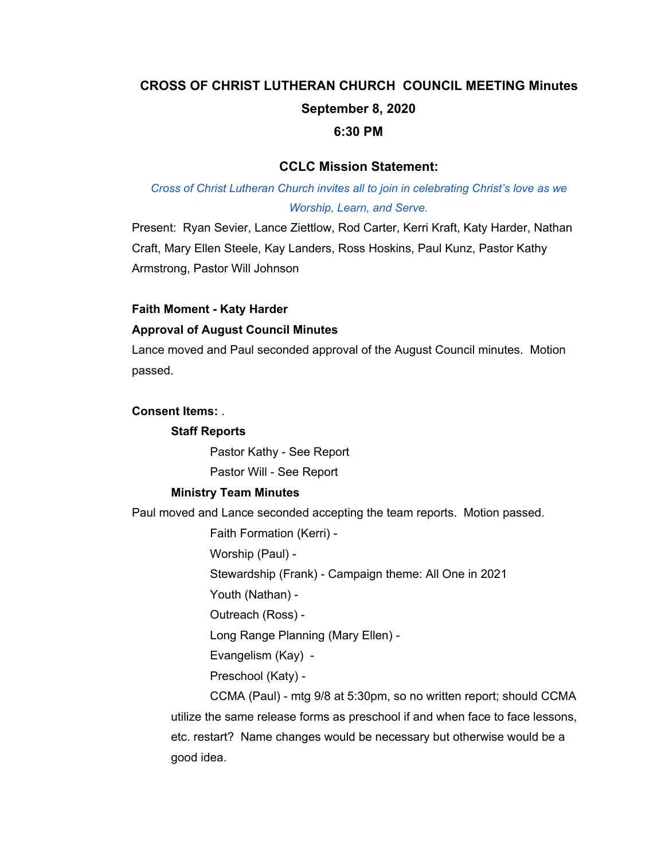# **CROSS OF CHRIST LUTHERAN CHURCH COUNCIL MEETING Minutes September 8, 2020 6:30 PM**

# **CCLC Mission Statement:**

# *Cross of Christ Lutheran Church invites all to join in celebrating Christ's love as we Worship, Learn, and Serve.*

Present: Ryan Sevier, Lance Ziettlow, Rod Carter, Kerri Kraft, Katy Harder, Nathan Craft, Mary Ellen Steele, Kay Landers, Ross Hoskins, Paul Kunz, Pastor Kathy Armstrong, Pastor Will Johnson

# **Faith Moment - Katy Harder**

### **Approval of August Council Minutes**

Lance moved and Paul seconded approval of the August Council minutes. Motion passed.

#### **Consent Items:** .

#### **Staff Reports**

Pastor Kathy - See Report Pastor Will - See Report

#### **Ministry Team Minutes**

Paul moved and Lance seconded accepting the team reports. Motion passed.

Faith Formation (Kerri) -

Worship (Paul) -

Stewardship (Frank) - Campaign theme: All One in 2021

Youth (Nathan) -

Outreach (Ross) -

Long Range Planning (Mary Ellen) -

Evangelism (Kay) -

Preschool (Katy) -

CCMA (Paul) - mtg 9/8 at 5:30pm, so no written report; should CCMA utilize the same release forms as preschool if and when face to face lessons, etc. restart? Name changes would be necessary but otherwise would be a good idea.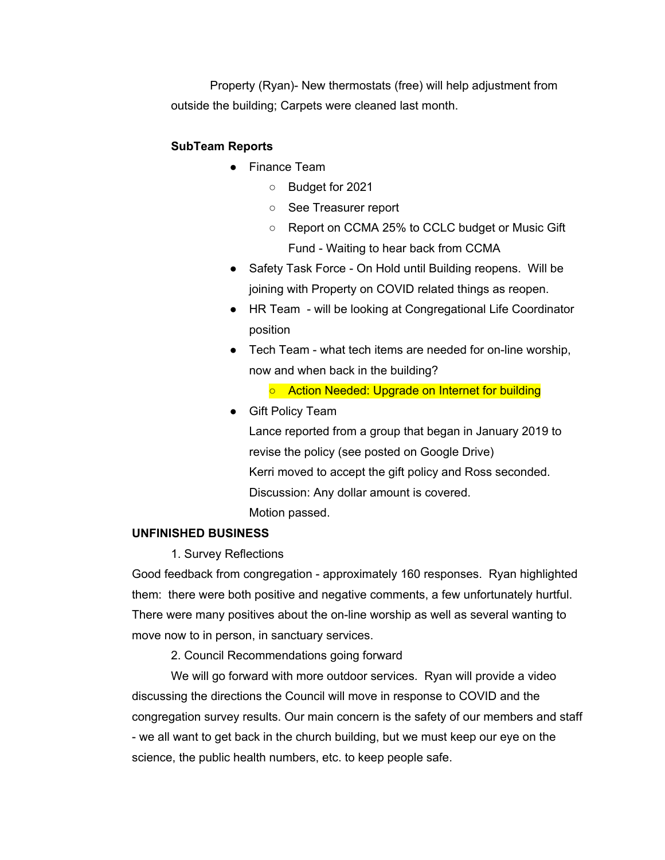Property (Ryan)- New thermostats (free) will help adjustment from outside the building; Carpets were cleaned last month.

# **SubTeam Reports**

- Finance Team
	- Budget for 2021
	- See Treasurer report
	- Report on CCMA 25% to CCLC budget or Music Gift Fund - Waiting to hear back from CCMA
- Safety Task Force On Hold until Building reopens. Will be joining with Property on COVID related things as reopen.
- HR Team will be looking at Congregational Life Coordinator position
- Tech Team what tech items are needed for on-line worship, now and when back in the building?
	- Action Needed: Upgrade on Internet for building
- Gift Policy Team

Lance reported from a group that began in January 2019 to revise the policy (see posted on Google Drive) Kerri moved to accept the gift policy and Ross seconded. Discussion: Any dollar amount is covered. Motion passed.

#### **UNFINISHED BUSINESS**

1. Survey Reflections

Good feedback from congregation - approximately 160 responses. Ryan highlighted them: there were both positive and negative comments, a few unfortunately hurtful. There were many positives about the on-line worship as well as several wanting to move now to in person, in sanctuary services.

2. Council Recommendations going forward

We will go forward with more outdoor services. Ryan will provide a video discussing the directions the Council will move in response to COVID and the congregation survey results. Our main concern is the safety of our members and staff - we all want to get back in the church building, but we must keep our eye on the science, the public health numbers, etc. to keep people safe.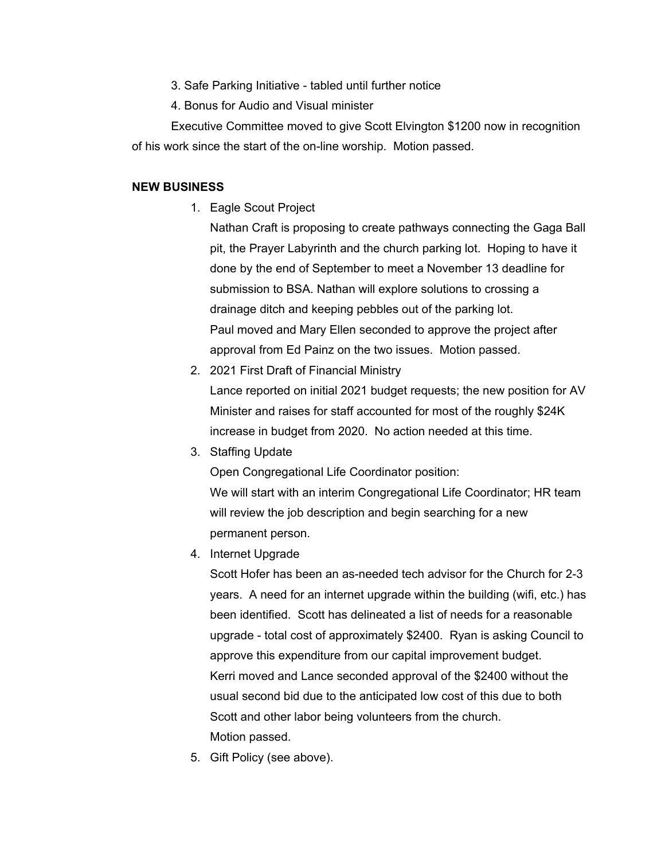- 3. Safe Parking Initiative tabled until further notice
- 4. Bonus for Audio and Visual minister

Executive Committee moved to give Scott Elvington \$1200 now in recognition of his work since the start of the on-line worship. Motion passed.

#### **NEW BUSINESS**

1. Eagle Scout Project

Nathan Craft is proposing to create pathways connecting the Gaga Ball pit, the Prayer Labyrinth and the church parking lot. Hoping to have it done by the end of September to meet a November 13 deadline for submission to BSA. Nathan will explore solutions to crossing a drainage ditch and keeping pebbles out of the parking lot. Paul moved and Mary Ellen seconded to approve the project after approval from Ed Painz on the two issues. Motion passed.

- 2. 2021 First Draft of Financial Ministry Lance reported on initial 2021 budget requests; the new position for AV Minister and raises for staff accounted for most of the roughly \$24K increase in budget from 2020. No action needed at this time.
- 3. Staffing Update

Open Congregational Life Coordinator position: We will start with an interim Congregational Life Coordinator; HR team will review the job description and begin searching for a new permanent person.

4. Internet Upgrade

Scott Hofer has been an as-needed tech advisor for the Church for 2-3 years. A need for an internet upgrade within the building (wifi, etc.) has been identified. Scott has delineated a list of needs for a reasonable upgrade - total cost of approximately \$2400. Ryan is asking Council to approve this expenditure from our capital improvement budget. Kerri moved and Lance seconded approval of the \$2400 without the usual second bid due to the anticipated low cost of this due to both Scott and other labor being volunteers from the church. Motion passed.

5. Gift Policy (see above).